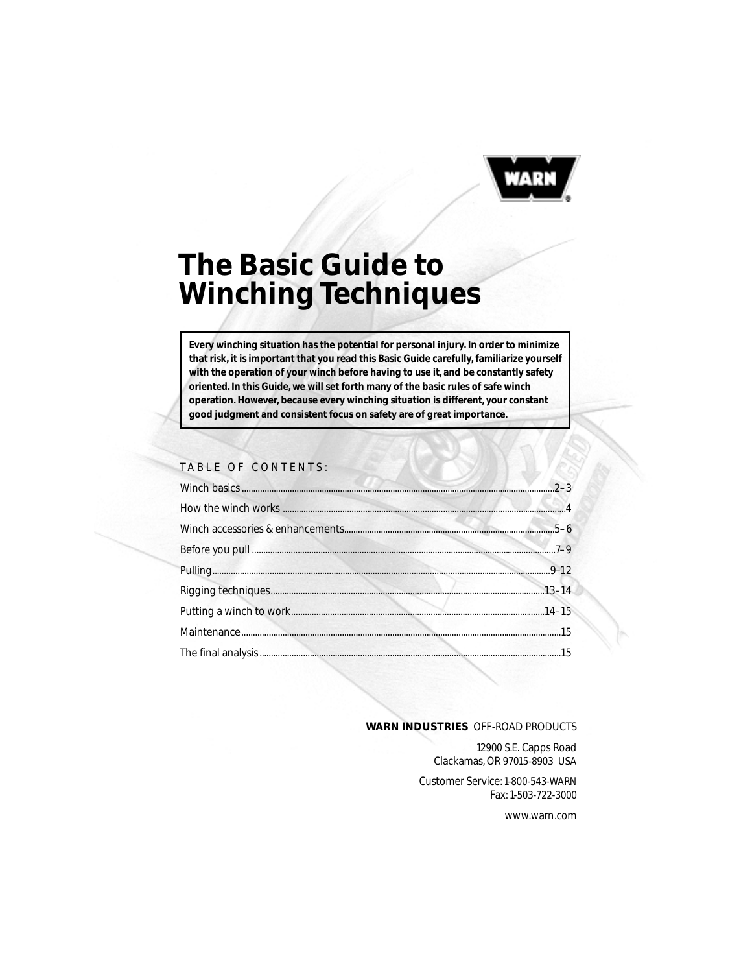

# **The Basic Guide to Winching Techniques**

**Every winching situation has the potential for personal injury. In order to minimize that risk, it is important that you read this Basic Guide carefully, familiarize yourself with the operation of your winch before having to use it, and be constantly safety oriented. In this Guide, we will set forth many of the basic rules of safe winch operation. However, because every winching situation is different, your constant good judgment and consistent focus on safety are of great importance.**

## TABLE OF CONTENTS:

#### **WARN INDUSTRIES** OFF-ROAD PRODUCTS

12900 S.E. Capps Road Clackamas, OR 97015-8903 USA

Customer Service: 1-800-543-WARN Fax: 1-503-722-3000

www.warn.com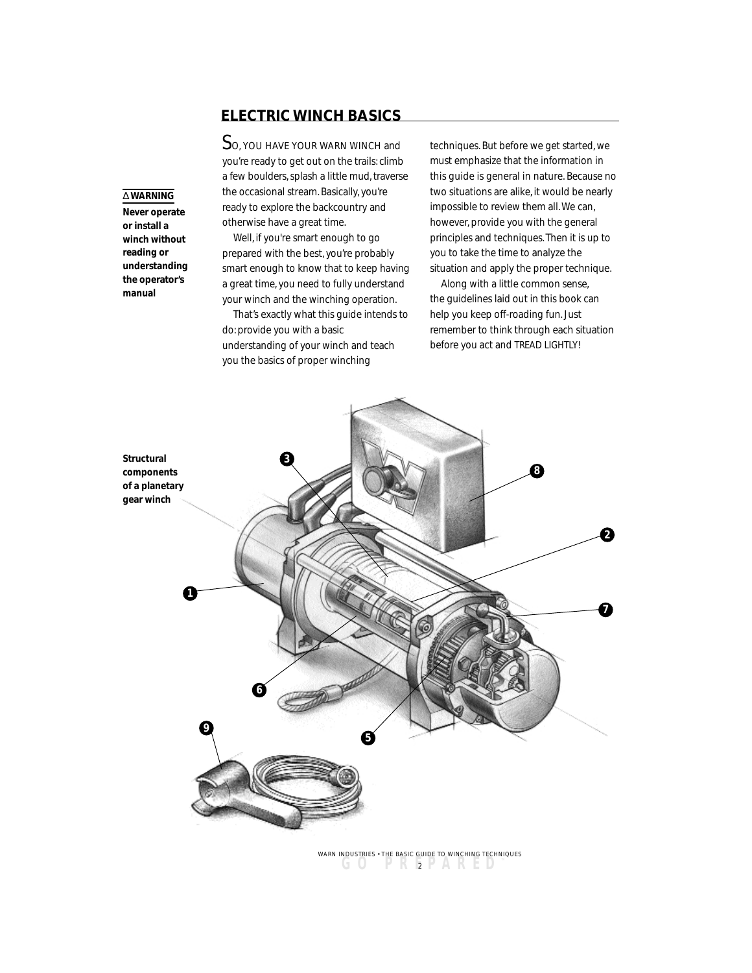# **ELECTRIC WINCH BASICS**

So, YOU HAVE YOUR WARN WINCH and you're ready to get out on the trails: climb a few boulders, splash a little mud, traverse the occasional stream. Basically, you're ready to explore the backcountry and otherwise have a great time.

Well, if you're smart enough to go prepared with the best, you're probably smart enough to know that to keep having a great time, you need to fully understand your winch and the winching operation.

That's exactly what this guide intends to do: provide you with a basic understanding of your winch and teach you the basics of proper winching

techniques. But before we get started, we must emphasize that the information in this guide is general in nature. Because no two situations are alike, it would be nearly impossible to review them all. We can, however, provide you with the general principles and techniques. Then it is up to you to take the time to analyze the situation and apply the proper technique.

Along with a little common sense, the guidelines laid out in this book can help you keep off-roading fun. Just remember to think through each situation before you act and TREAD LIGHTLY!



**GO PREPARED ™** <sup>2</sup> WARN INDUSTRIES • THE BASIC GUIDE TO WINCHING TECHNIQUES

# ∆ **WARNING**

**Never operate or install a winch without reading or understanding the operator's manual**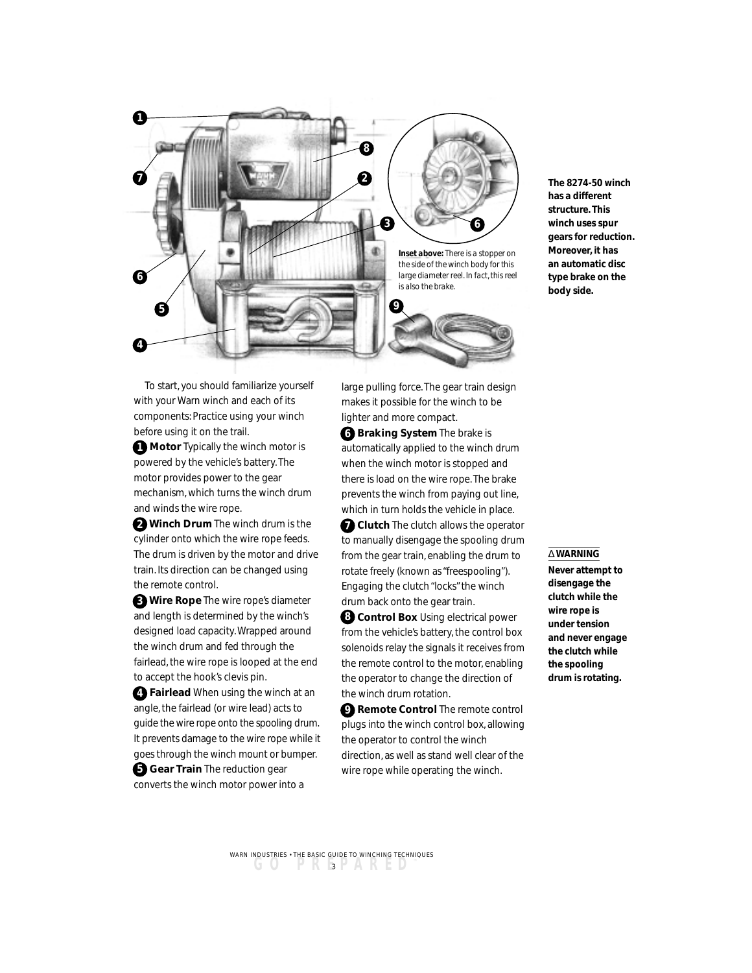

**The 8274-50 winch has a different structure. This winch uses spur gears for reduction. Moreover, it has an automatic disc type brake on the body side.**

To start, you should familiarize yourself with your Warn winch and each of its components: Practice using your winch before using it on the trail.

**1** Motor Typically the winch motor is powered by the vehicle's battery. The motor provides power to the gear mechanism, which turns the winch drum and winds the wire rope.

**Winch Drum** The winch drum is the **2** cylinder onto which the wire rope feeds. The drum is driven by the motor and drive train. Its direction can be changed using the remote control.

**Wire Rope** The wire rope's diameter **3** and length is determined by the winch's designed load capacity. Wrapped around the winch drum and fed through the fairlead, the wire rope is looped at the end to accept the hook's clevis pin.

**Fairlead** When using the winch at an **4** angle, the fairlead (or wire lead) acts to guide the wire rope onto the spooling drum. It prevents damage to the wire rope while it goes through the winch mount or bumper.

**Gear Train** The reduction gear converts the winch motor power into a large pulling force. The gear train design makes it possible for the winch to be lighter and more compact.

**Braking System** The brake is **6** automatically applied to the winch drum when the winch motor is stopped and there is load on the wire rope. The brake prevents the winch from paying out line, which in turn holds the vehicle in place.

**7** Clutch The clutch allows the operator to manually disengage the spooling drum from the gear train, enabling the drum to rotate freely (known as "freespooling"). Engaging the clutch "locks" the winch drum back onto the gear train.

**Control Box** Using electrical power **8** from the vehicle's battery, the control box solenoids relay the signals it receives from the remote control to the motor, enabling the operator to change the direction of the winch drum rotation.

**Remote Control** The remote control **9** plugs into the winch control box, allowing the operator to control the winch direction, as well as stand well clear of the wire rope while operating the winch.

#### ∆ **WARNING**

**Never attempt to disengage the clutch while the wire rope is under tension and never engage the clutch while the spooling drum is rotating.**

**GO PREPARED ™** <sup>3</sup> WARN INDUSTRIES • THE BASIC GUIDE TO WINCHING TECHNIQUES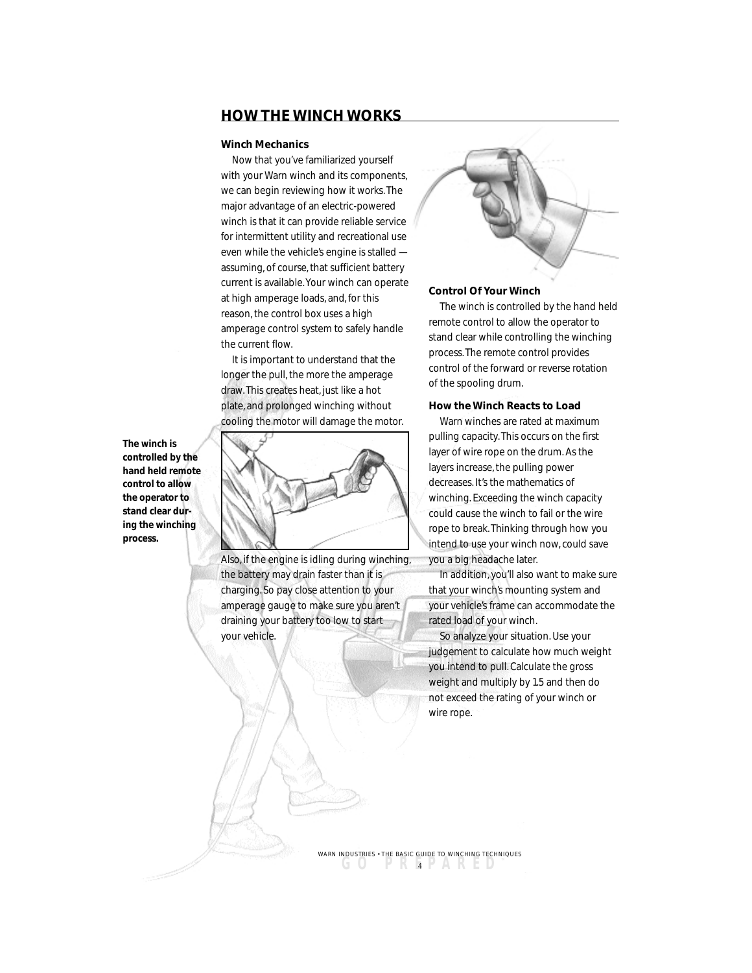## **HOW THE WINCH WORKS**

#### **Winch Mechanics**

Now that you've familiarized yourself with your Warn winch and its components, we can begin reviewing how it works. The major advantage of an electric-powered winch is that it can provide reliable service for intermittent utility and recreational use even while the vehicle's engine is stalled assuming, of course, that sufficient battery current is available. Your winch can operate at high amperage loads, and, for this reason, the control box uses a high amperage control system to safely handle the current flow.

It is important to understand that the longer the pull, the more the amperage draw. This creates heat, just like a hot plate, and prolonged winching without cooling the motor will damage the motor.



Also, if the engine is idling during winching, the battery may drain faster than it is charging. So pay close attention to your amperage gauge to make sure you aren't draining your battery too low to start your vehicle.



#### **Control Of Your Winch**

The winch is controlled by the hand held remote control to allow the operator to stand clear while controlling the winching process. The remote control provides control of the forward or reverse rotation of the spooling drum.

#### **How the Winch Reacts to Load**

Warn winches are rated at maximum pulling capacity. This occurs on the first layer of wire rope on the drum. As the layers increase, the pulling power decreases. It's the mathematics of winching. Exceeding the winch capacity could cause the winch to fail or the wire rope to break. Thinking through how you intend to use your winch now, could save you a big headache later.

In addition, you'll also want to make sure that your winch's mounting system and your vehicle's frame can accommodate the rated load of your winch.

So analyze your situation. Use your judgement to calculate how much weight you intend to pull. Calculate the gross weight and multiply by 1.5 and then do not exceed the rating of your winch or wire rope.

**The winch is controlled by the hand held remote control to allow the operator to stand clear during the winching process.**

> **GO PREPARED ™** <sup>4</sup> WARN INDUSTRIES • THE BASIC GUIDE TO WINCHING TECHNIQUES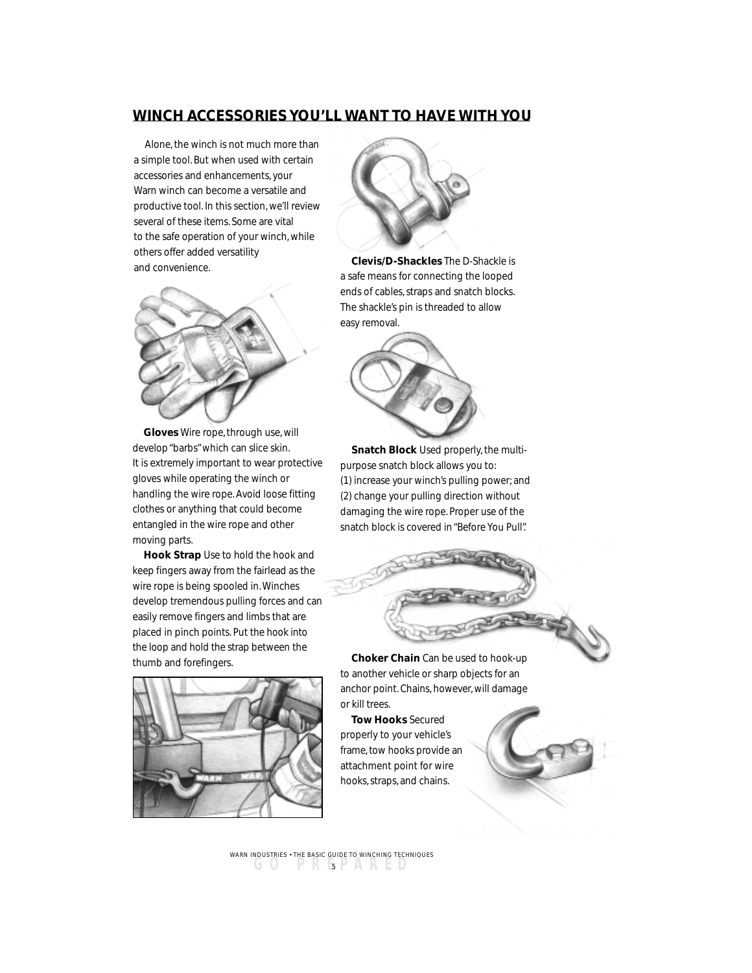# **WINCH ACCESSORIES YOU'LL WANT TO HAVE WITH YOU**

Alone, the winch is not much more than a simple tool. But when used with certain accessories and enhancements, your Warn winch can become a versatile and productive tool. In this section, we'll review several of these items. Some are vital to the safe operation of your winch, while others offer added versatility and convenience.



**Gloves** Wire rope, through use, will develop "barbs" which can slice skin. It is extremely important to wear protective gloves while operating the winch or handling the wire rope. Avoid loose fitting clothes or anything that could become entangled in the wire rope and other moving parts.

**Hook Strap** Use to hold the hook and keep fingers away from the fairlead as the wire rope is being spooled in. Winches develop tremendous pulling forces and can easily remove fingers and limbs that are placed in pinch points. Put the hook into the loop and hold the strap between the thumb and forefingers.





**Clevis/D-Shackles** The D-Shackle is a safe means for connecting the looped ends of cables, straps and snatch blocks. The shackle's pin is threaded to allow easy removal.



**Snatch Block** Used properly, the multipurpose snatch block allows you to: (1) increase your winch's pulling power; and (2) change your pulling direction without damaging the wire rope. Proper use of the snatch block is covered in "Before You Pull".



**Choker Chain** Can be used to hook-up to another vehicle or sharp objects for an anchor point. Chains, however, will damage or kill trees.

**Tow Hooks** Secured properly to your vehicle's frame, tow hooks provide an attachment point for wire hooks, straps, and chains.

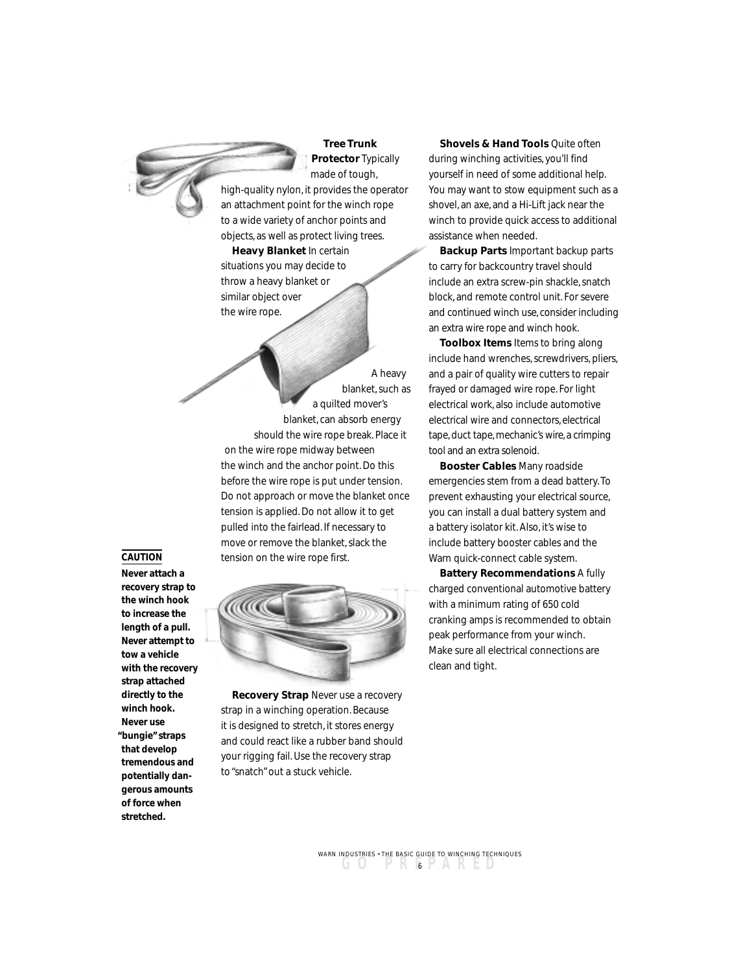

**Tree Trunk Protector** Typically made of tough,

high-quality nylon, it provides the operator an attachment point for the winch rope to a wide variety of anchor points and objects, as well as protect living trees.

**Heavy Blanket** In certain situations you may decide to throw a heavy blanket or similar object over the wire rope.

A heavy blanket, such as a quilted mover's blanket, can absorb energy should the wire rope break. Place it on the wire rope midway between the winch and the anchor point. Do this before the wire rope is put under tension. Do not approach or move the blanket once tension is applied. Do not allow it to get pulled into the fairlead. If necessary to move or remove the blanket, slack the tension on the wire rope first.



**Recovery Strap** Never use a recovery strap in a winching operation. Because it is designed to stretch, it stores energy and could react like a rubber band should your rigging fail. Use the recovery strap to "snatch" out a stuck vehicle.

**Shovels & Hand Tools Quite often** during winching activities, you'll find yourself in need of some additional help. You may want to stow equipment such as a shovel, an axe, and a Hi-Lift jack near the winch to provide quick access to additional assistance when needed.

**Backup Parts** Important backup parts to carry for backcountry travel should include an extra screw-pin shackle, snatch block, and remote control unit. For severe and continued winch use, consider including an extra wire rope and winch hook.

**Toolbox Items** Items to bring along include hand wrenches, screwdrivers, pliers, and a pair of quality wire cutters to repair frayed or damaged wire rope. For light electrical work, also include automotive electrical wire and connectors, electrical tape, duct tape, mechanic's wire, a crimping tool and an extra solenoid.

**Booster Cables** Many roadside emergencies stem from a dead battery. To prevent exhausting your electrical source, you can install a dual battery system and a battery isolator kit. Also, it's wise to include battery booster cables and the Warn quick-connect cable system.

**Battery Recommendations** A fully charged conventional automotive battery with a minimum rating of 650 cold cranking amps is recommended to obtain peak performance from your winch. Make sure all electrical connections are clean and tight.

**GO PREPARED ™** <sup>6</sup> WARN INDUSTRIES • THE BASIC GUIDE TO WINCHING TECHNIQUES

## **CAUTION**

**Never attach a recovery strap to the winch hook to increase the length of a pull. Never attempt to tow a vehicle with the recovery strap attached directly to the winch hook. Never use "bungie" straps that develop tremendous and potentially dangerous amounts of force when stretched.**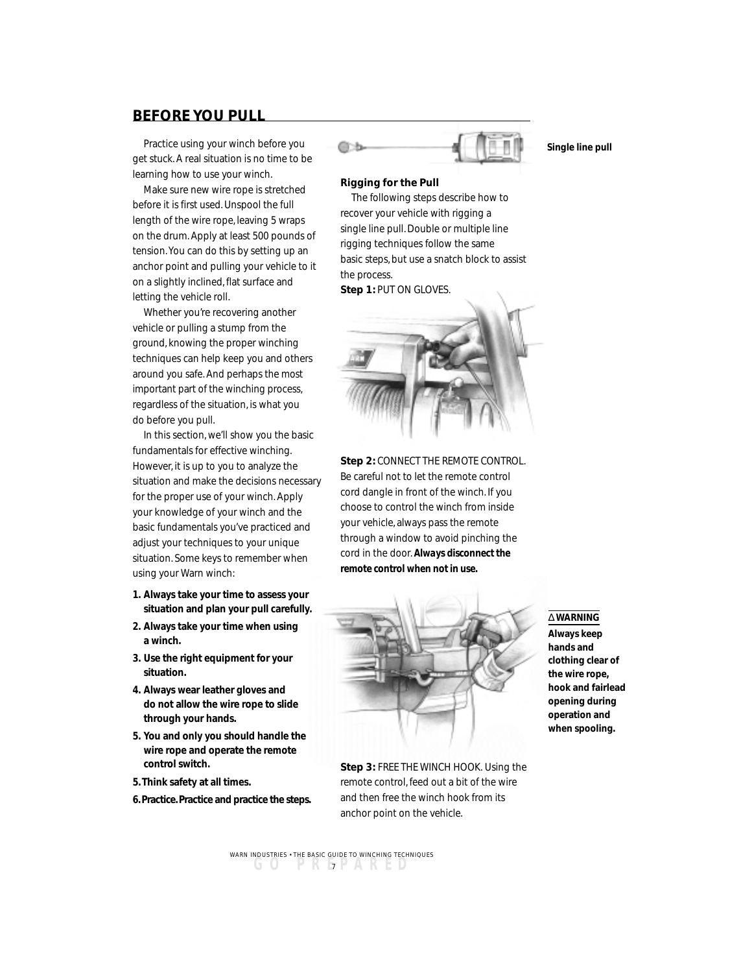# **BEFORE YOU PULL**

Practice using your winch before you get stuck. A real situation is no time to be learning how to use your winch.

Make sure new wire rope is stretched before it is first used. Unspool the full length of the wire rope, leaving 5 wraps on the drum. Apply at least 500 pounds of tension. You can do this by setting up an anchor point and pulling your vehicle to it on a slightly inclined, flat surface and letting the vehicle roll.

Whether you're recovering another vehicle or pulling a stump from the ground, knowing the proper winching techniques can help keep you and others around you safe. And perhaps the most important part of the winching process, regardless of the situation, is what you do before you pull.

In this section, we'll show you the basic fundamentals for effective winching. However, it is up to you to analyze the situation and make the decisions necessary for the proper use of your winch. Apply your knowledge of your winch and the basic fundamentals you've practiced and adjust your techniques to your unique situation. Some keys to remember when using your Warn winch:

- **1. Always take your time to assess your situation and plan your pull carefully.**
- **2. Always take your time when using a winch.**
- **3. Use the right equipment for your situation.**
- **4. Always wear leather gloves and do not allow the wire rope to slide through your hands.**
- **5. You and only you should handle the wire rope and operate the remote control switch.**
- **5. Think safety at all times.**
- **6. Practice. Practice and practice the steps.**



**Single line pull**

#### **Rigging for the Pull**

The following steps describe how to recover your vehicle with rigging a single line pull. Double or multiple line rigging techniques follow the same basic steps, but use a snatch block to assist the process.

**Step 1:** PUT ON GLOVES.



**Step 2: CONNECT THE REMOTE CONTROL.** Be careful not to let the remote control cord dangle in front of the winch. If you choose to control the winch from inside your vehicle, always pass the remote through a window to avoid pinching the cord in the door. *Always disconnect the remote control when not in use.*



**Step 3:** FREE THE WINCH HOOK. Using the remote control, feed out a bit of the wire and then free the winch hook from its anchor point on the vehicle.

## ∆ **WARNING**

**Always keep hands and clothing clear of the wire rope, hook and fairlead opening during operation and when spooling.**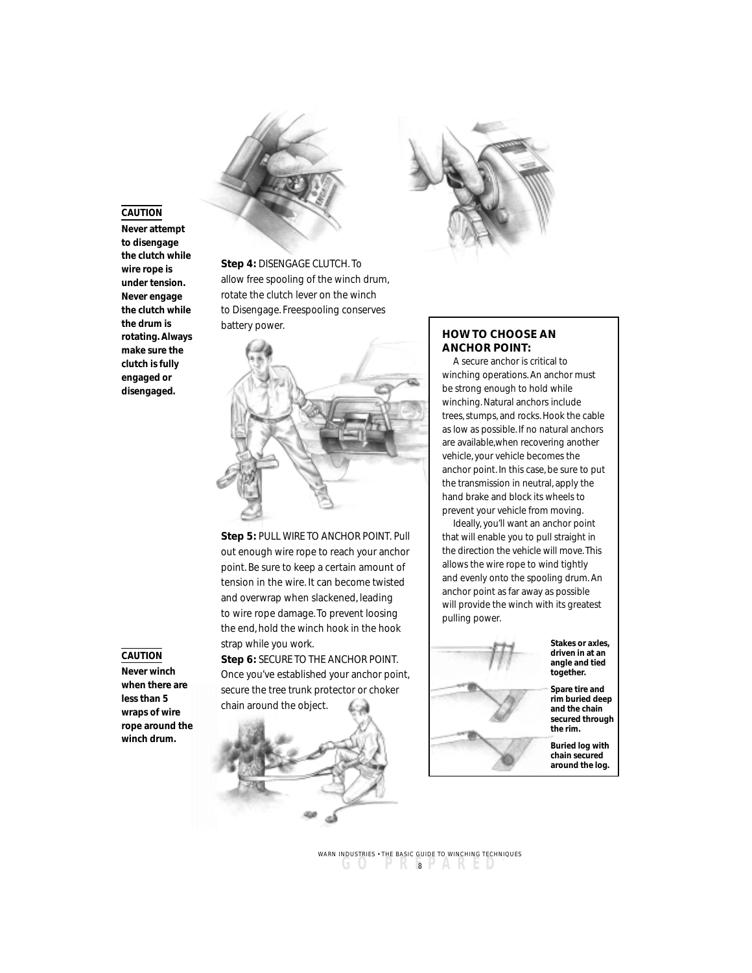## **CAUTION**

**Never attempt to disengage the clutch while wire rope is under tension. Never engage the clutch while the drum is rotating. Always make sure the clutch is fully engaged or disengaged.**





**Step 5:** PULL WIRE TO ANCHOR POINT. Pull out enough wire rope to reach your anchor point. Be sure to keep a certain amount of tension in the wire. It can become twisted and overwrap when slackened, leading to wire rope damage. To prevent loosing the end, hold the winch hook in the hook strap while you work.

**Step 6:** SECURE TO THE ANCHOR POINT. Once you've established your anchor point, secure the tree trunk protector or choker chain around the object.



### **HOW TO CHOOSE AN ANCHOR POINT:**

A secure anchor is critical to winching operations. An anchor must be strong enough to hold while winching. Natural anchors include trees, stumps, and rocks. Hook the cable as low as possible. If no natural anchors are available,when recovering another vehicle, your vehicle becomes the anchor point. In this case, be sure to put the transmission in neutral, apply the hand brake and block its wheels to prevent your vehicle from moving.

Ideally, you'll want an anchor point that will enable you to pull straight in the direction the vehicle will move. This allows the wire rope to wind tightly and evenly onto the spooling drum. An anchor point as far away as possible will provide the winch with its greatest pulling power.



**Stakes or axles, driven in at an angle and tied together.**

**Spare tire and rim buried deep and the chain secured through the rim.**

**Buried log with chain secured around the log.**

#### **CAUTION**

**Never winch when there are less than 5 wraps of wire rope around the winch drum.**

> **GO PREPARED ™** <sup>8</sup> WARN INDUSTRIES • THE BASIC GUIDE TO WINCHING TECHNIQUES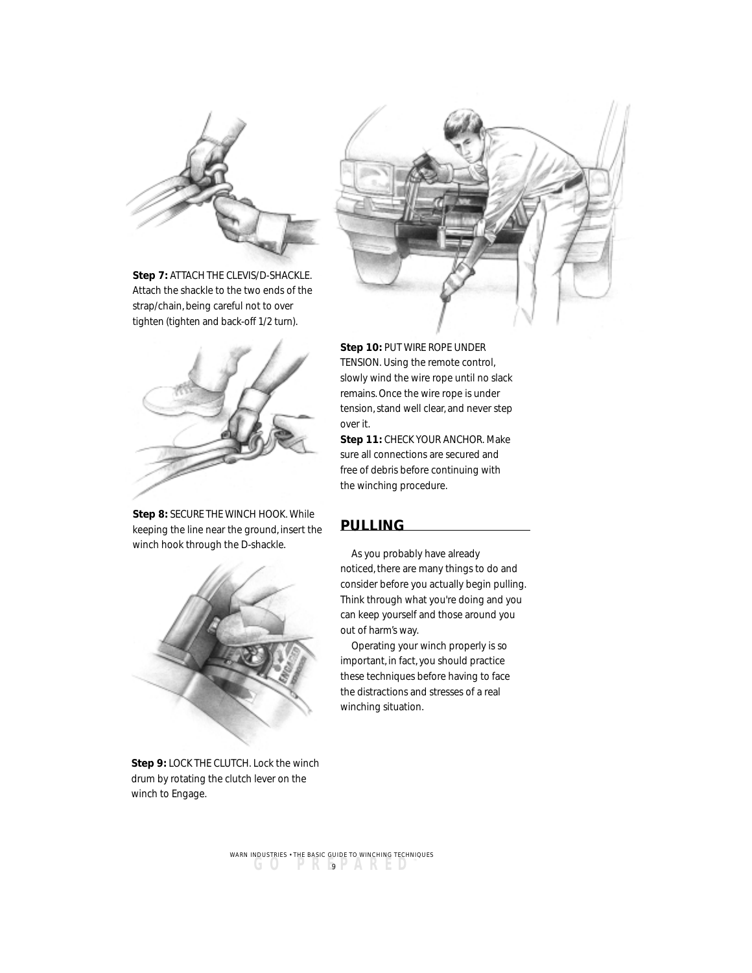

**Step 7:** ATTACH THE CLEVIS/D-SHACKLE. Attach the shackle to the two ends of the strap/chain, being careful not to over tighten (tighten and back-off 1/2 turn).



**Step 8:** SECURE THE WINCH HOOK. While keeping the line near the ground, insert the winch hook through the D-shackle.



**Step 9:** LOCK THE CLUTCH. Lock the winch drum by rotating the clutch lever on the winch to Engage.



**Step 10:** PUT WIRE ROPE UNDER TENSION. Using the remote control, slowly wind the wire rope until no slack remains. Once the wire rope is under tension, stand well clear, and never step over it.

**Step 11:** CHECK YOUR ANCHOR. Make sure all connections are secured and free of debris before continuing with the winching procedure.

# **PULLING**

As you probably have already noticed, there are many things to do and consider before you actually begin pulling. Think through what you're doing and you can keep yourself and those around you out of harm's way.

Operating your winch properly is so important, in fact, you should practice these techniques before having to face the distractions and stresses of a real winching situation.

**GO PREPARED ™** <sup>9</sup> WARN INDUSTRIES • THE BASIC GUIDE TO WINCHING TECHNIQUES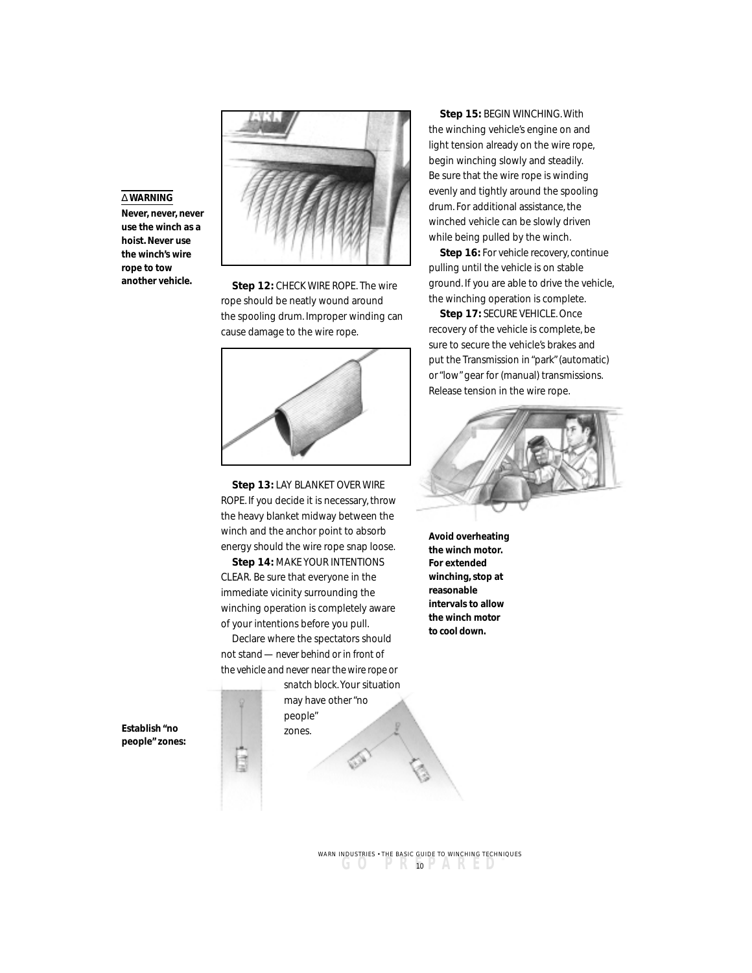## ∆ **WARNING**

**Never, never, never use the winch as a hoist. Never use the winch's wire rope to tow**



**another vehicle. Step 12:** CHECK WIRE ROPE. The wire rope should be neatly wound around the spooling drum. Improper winding can cause damage to the wire rope.



**Step 13:** LAY BLANKET OVER WIRE ROPE. If you decide it is necessary, throw the heavy blanket midway between the winch and the anchor point to absorb energy should the wire rope snap loose.

**Step 14:** MAKE YOUR INTENTIONS CLEAR. Be sure that everyone in the immediate vicinity surrounding the winching operation is completely aware of your intentions before you pull.

Declare where the spectators should not stand —*never behind or in front of the vehicle and never near the wire rope or*

đ

*snatch block*. Your situation may have other "no people" zones.

#### **Step 15:** BEGIN WINCHING. With

the winching vehicle's engine on and light tension already on the wire rope, begin winching slowly and steadily. Be sure that the wire rope is winding evenly and tightly around the spooling drum. For additional assistance, the winched vehicle can be slowly driven while being pulled by the winch.

**Step 16:** For vehicle recovery, continue pulling until the vehicle is on stable ground. If you are able to drive the vehicle, the winching operation is complete.

**Step 17:** SECURE VEHICLE. Once recovery of the vehicle is complete, be sure to secure the vehicle's brakes and put the Transmission in "park" (automatic) or "low" gear for (manual) transmissions. Release tension in the wire rope.



**Avoid overheating the winch motor. For extended winching, stop at reasonable intervals to allow the winch motor to cool down.**

**Establish "no people" zones:**

> **GO PREPARED ™** <sup>10</sup> WARN INDUSTRIES • THE BASIC GUIDE TO WINCHING TECHNIQUES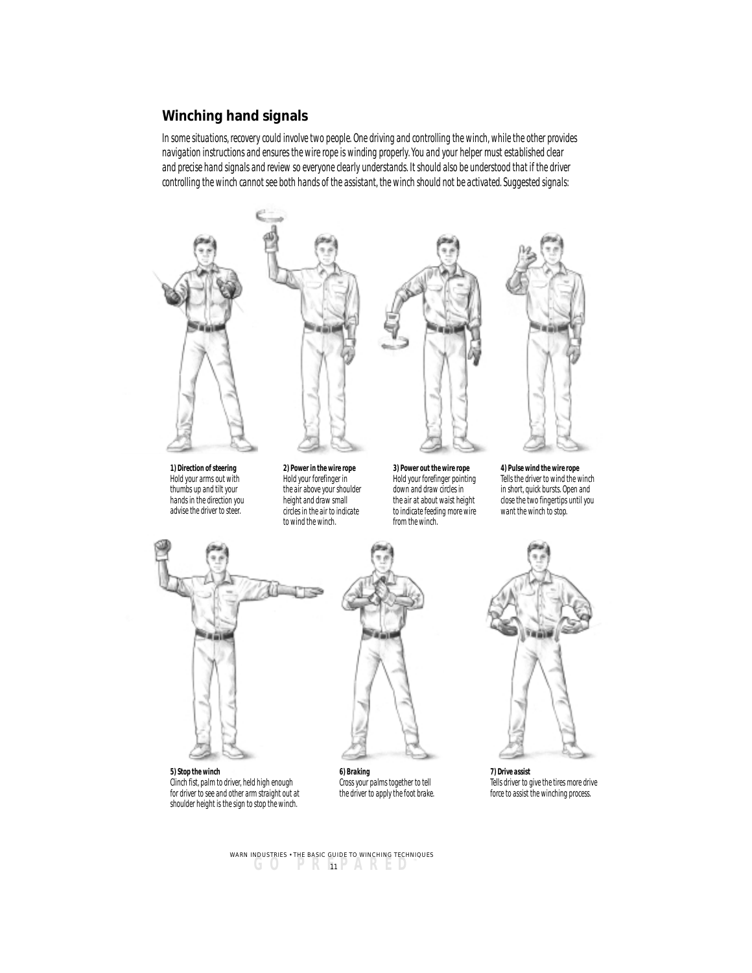# **Winching hand signals**

*In some situations, recovery could involve two people. One driving and controlling the winch, while the other provides navigation instructions and ensures the wire rope is winding properly. You and your helper must established clear and precise hand signals and review so everyone clearly understands. It should also be understood that if the driver controlling the winch cannot see both hands of the assistant, the winch should not be activated. Suggested signals:*



*1) Direction of steering Hold your arms out with thumbs up and tilt your hands in the direction you advise the driver to steer.*







*3) Power out the wire rope Hold your forefinger pointing down and draw circles in the air at about waist height to indicate feeding more wire*

*4) Pulse wind the wire rope Tells the driver to wind the winch in short, quick bursts. Open and close the two fingertips until you want the winch to stop.*





*from the winch.*

*5) Stop the winch Clinch fist, palm to driver, held high enough for driver to see and other arm straight out at shoulder height is the sign to stop the winch.*

*6) Braking Cross your palms together to tell the driver to apply the foot brake.*



*7) Drive assist Tells driver to give the tires more drive force to assist the winching process.*

**GO PREPARED ™** <sup>11</sup> WARN INDUSTRIES • THE BASIC GUIDE TO WINCHING TECHNIQUES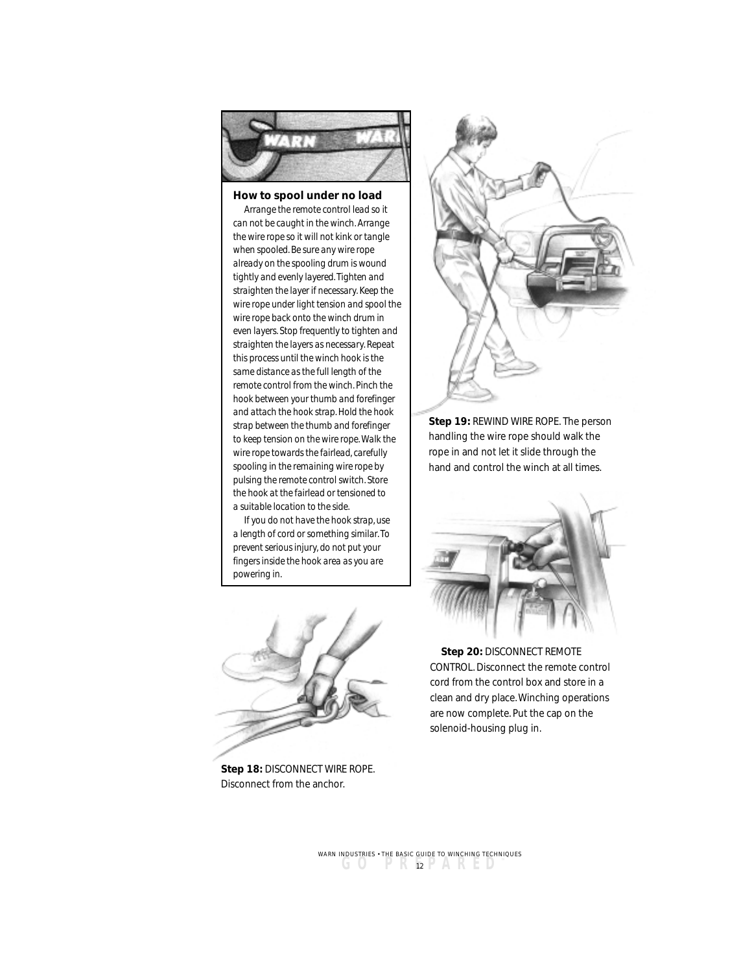

## **How to spool under no load**

*Arrange the remote control lead so it can not be caught in the winch. Arrange the wire rope so it will not kink or tangle when spooled. Be sure any wire rope already on the spooling drum is wound tightly and evenly layered. Tighten and straighten the layer if necessary. Keep the wire rope under light tension and spool the wire rope back onto the winch drum in even layers. Stop frequently to tighten and straighten the layers as necessary. Repeat this process until the winch hook is the same distance as the full length of the remote control from the winch. Pinch the hook between your thumb and forefinger and attach the hook strap. Hold the hook strap between the thumb and forefinger to keep tension on the wire rope. Walk the wire rope towards the fairlead, carefully spooling in the remaining wire rope by pulsing the remote control switch. Store the hook at the fairlead or tensioned to a suitable location to the side.*

*If you do not have the hook strap, use a length of cord or something similar. To prevent serious injury, do not put your fingers inside the hook area as you are powering in.*



**Step 18:** DISCONNECT WIRE ROPE. Disconnect from the anchor.



**Step 19:** REWIND WIRE ROPE. The person handling the wire rope should walk the rope in and not let it slide through the hand and control the winch at all times.



**Step 20:** DISCONNECT REMOTE CONTROL. Disconnect the remote control cord from the control box and store in a clean and dry place. Winching operations are now complete. Put the cap on the solenoid-housing plug in.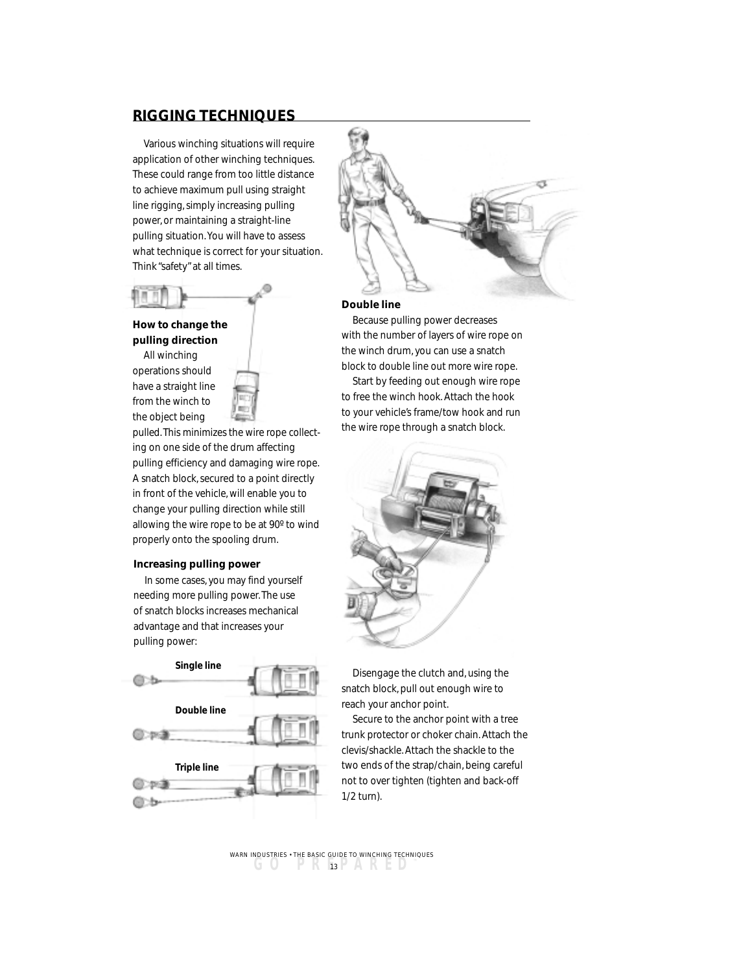# **RIGGING TECHNIQUES**

Various winching situations will require application of other winching techniques. These could range from too little distance to achieve maximum pull using straight line rigging, simply increasing pulling power, or maintaining a straight-line pulling situation. You will have to assess what technique is correct for your situation. Think "safety" at all times.



## **How to change the pulling direction**

All winching operations should have a straight line from the winch to the object being



pulled. This minimizes the wire rope collecting on one side of the drum affecting pulling efficiency and damaging wire rope. A snatch block, secured to a point directly in front of the vehicle, will enable you to change your pulling direction while still allowing the wire rope to be at 90º to wind properly onto the spooling drum.

#### **Increasing pulling power**

In some cases, you may find yourself needing more pulling power. The use of snatch blocks increases mechanical advantage and that increases your pulling power:





#### **Double line**

Because pulling power decreases with the number of layers of wire rope on the winch drum, you can use a snatch block to double line out more wire rope.

Start by feeding out enough wire rope to free the winch hook. Attach the hook to your vehicle's frame/tow hook and run the wire rope through a snatch block.



Disengage the clutch and, using the snatch block, pull out enough wire to reach your anchor point.

Secure to the anchor point with a tree trunk protector or choker chain. Attach the clevis/shackle. Attach the shackle to the two ends of the strap/chain, being careful not to over tighten (tighten and back-off 1/2 turn).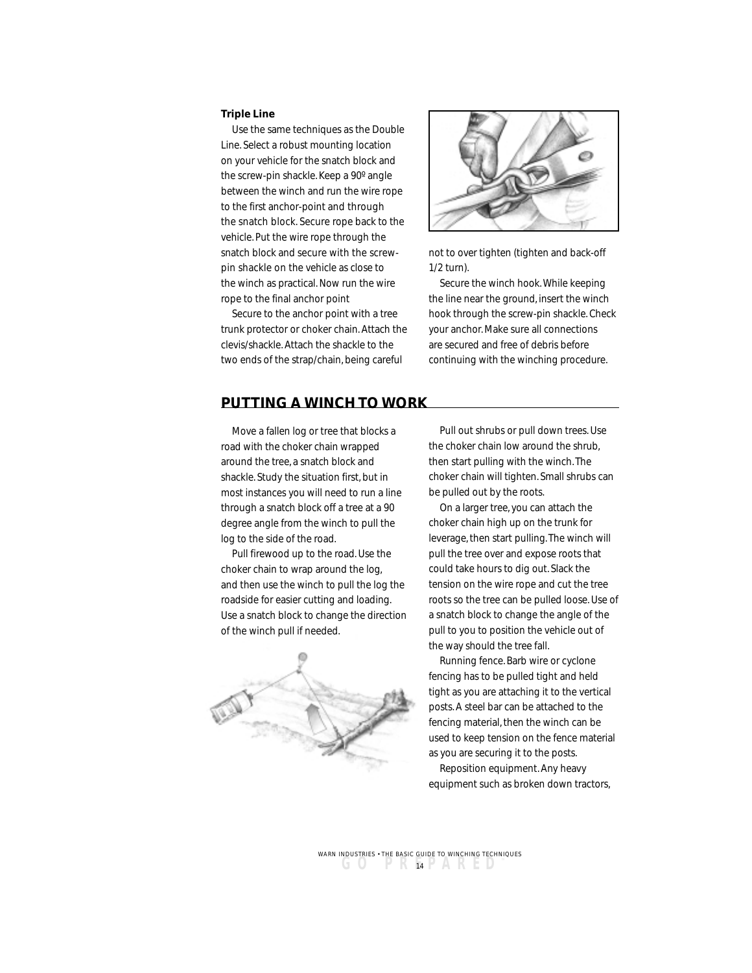#### **Triple Line**

Use the same techniques as the Double Line. Select a robust mounting location on your vehicle for the snatch block and the screw-pin shackle. Keep a 90º angle between the winch and run the wire rope to the first anchor-point and through the snatch block. Secure rope back to the vehicle. Put the wire rope through the snatch block and secure with the screwpin shackle on the vehicle as close to the winch as practical. Now run the wire rope to the final anchor point

Secure to the anchor point with a tree trunk protector or choker chain. Attach the clevis/shackle. Attach the shackle to the two ends of the strap/chain, being careful



not to over tighten (tighten and back-off 1/2 turn).

Secure the winch hook. While keeping the line near the ground, insert the winch hook through the screw-pin shackle. Check your anchor. Make sure all connections are secured and free of debris before continuing with the winching procedure.

## **PUTTING A WINCH TO WORK**

Move a fallen log or tree that blocks a road with the choker chain wrapped around the tree, a snatch block and shackle. Study the situation first, but in most instances you will need to run a line through a snatch block off a tree at a 90 degree angle from the winch to pull the log to the side of the road.

Pull firewood up to the road. Use the choker chain to wrap around the log, and then use the winch to pull the log the roadside for easier cutting and loading. Use a snatch block to change the direction of the winch pull if needed.



Pull out shrubs or pull down trees. Use the choker chain low around the shrub, then start pulling with the winch. The choker chain will tighten. Small shrubs can be pulled out by the roots.

On a larger tree, you can attach the choker chain high up on the trunk for leverage, then start pulling. The winch will pull the tree over and expose roots that could take hours to dig out. Slack the tension on the wire rope and cut the tree roots so the tree can be pulled loose. Use of a snatch block to change the angle of the pull to you to position the vehicle out of the way should the tree fall.

Running fence. Barb wire or cyclone fencing has to be pulled tight and held tight as you are attaching it to the vertical posts. A steel bar can be attached to the fencing material, then the winch can be used to keep tension on the fence material as you are securing it to the posts.

Reposition equipment. Any heavy equipment such as broken down tractors,